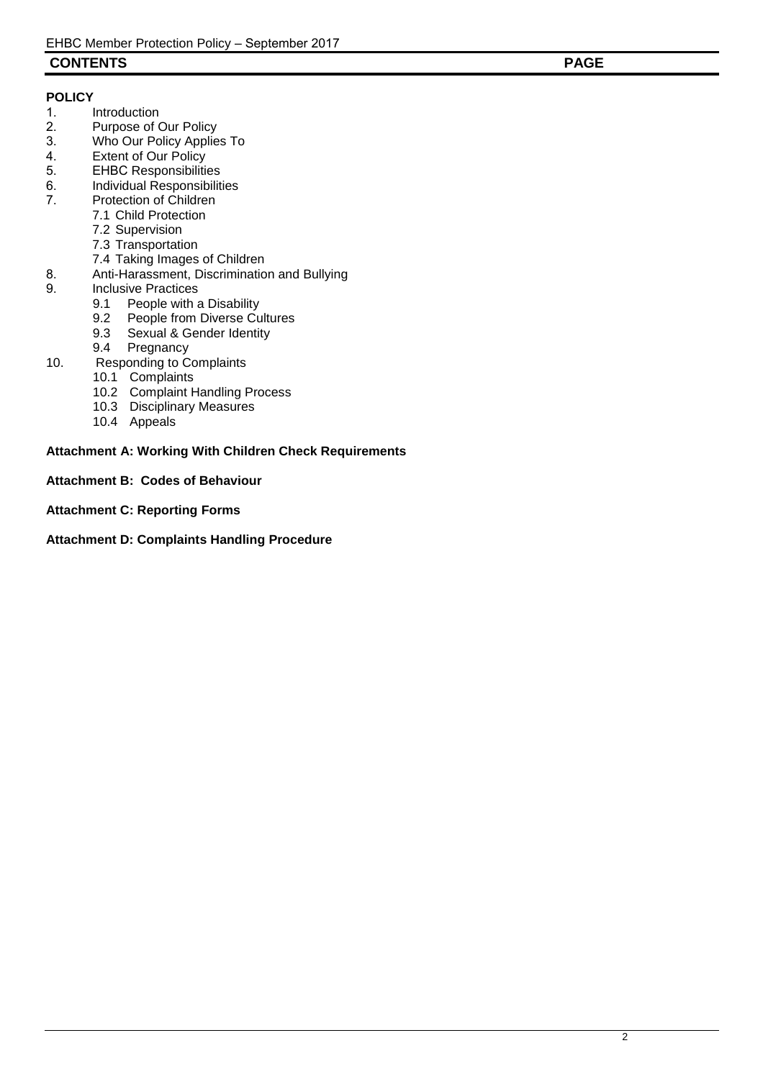## **CONTENTS PAGE**

# **POLICY**

- 
- 1. Introduction<br>2. Purpose of 0 2. Purpose of Our Policy<br>3. Who Our Policy Applie
- 3. Who Our Policy Applies To<br>4. Extent of Our Policy
- 4. Extent of Our Policy<br>5. EHBC Responsibilities
- **EHBC Responsibilities**
- 6. Individual Responsibilities<br>7. Protection of Children
- Protection of Children
	- 7.1 Child Protection
		- 7.2 Supervision
		- 7.3 Transportation
		- 7.4 Taking Images of Children
- 8. Anti-Harassment, Discrimination and Bullying<br>9. Inclusive Practices
- Inclusive Practices<br>9.1 People with a
	- 9.1 People with a Disability<br>9.2 People from Diverse Cu
	- 9.2 People from Diverse Cultures<br>9.3 Sexual & Gender Identity
	- 9.3 Sexual & Gender Identity<br>9.4 Pregnancy
	- Pregnancy
- 10. Responding to Complaints
	- 10.1 Complaints
	- 10.2 Complaint Handling Process
	- 10.3 Disciplinary Measures
	- 10.4 Appeals

## **Attachment A: Working With Children Check Requirements**

**Attachment B: Codes of Behaviour** 

#### **Attachment C: Reporting Forms**

**Attachment D: Complaints Handling Procedure**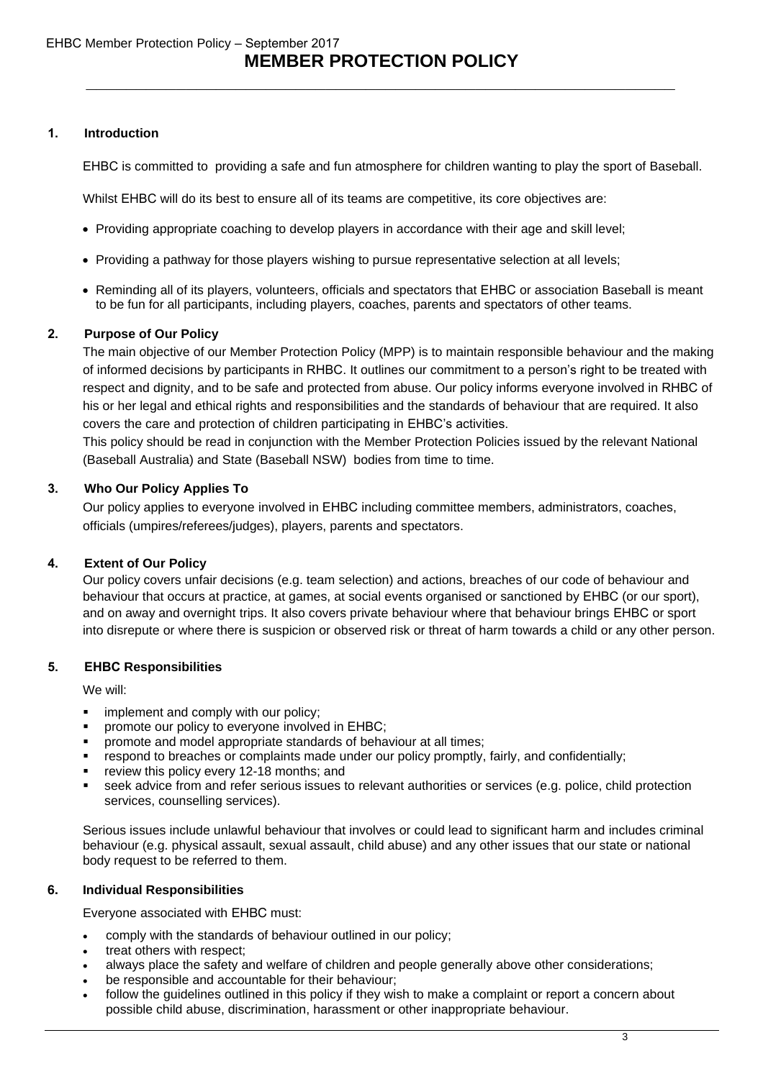# **MEMBER PROTECTION POLICY**  *\_\_\_\_\_\_\_\_\_\_\_\_\_\_\_\_\_\_\_\_\_\_\_\_\_\_\_\_\_\_\_\_\_\_\_\_\_\_\_\_\_\_\_\_\_\_\_\_\_\_\_\_\_\_\_\_\_\_\_*

## **Introduction**

EHBC is committed to providing a safe and fun atmosphere for children wanting to play the sport of Baseball.

Whilst EHBC will do its best to ensure all of its teams are competitive, its core objectives are:

- Providing appropriate coaching to develop players in accordance with their age and skill level;
- Providing a pathway for those players wishing to pursue representative selection at all levels;
- Reminding all of its players, volunteers, officials and spectators that EHBC or association Baseball is meant to be fun for all participants, including players, coaches, parents and spectators of other teams.

## **Purpose of Our Policy**

The main objective of our Member Protection Policy (MPP) is to maintain responsible behaviour and the making of informed decisions by participants in EHBC. It outlines our commitment to a person's right to be treated with respect and dignity, and to be safe and protected from abuse. Our policy informs everyone involved in EHBC of his or her legal and ethical rights and responsibilities and the standards of behaviour that are required. It also covers the care and protection of children participating in EHBC's activities.

This policy should be read in conjunction with the Member Protection Policies issued by the relevant National (Baseball Australia) and State (Baseball NSW) bodies from time to time.

## **Who Our Policy Applies To**

Our policy applies to everyone involved in EHBC including committee members, administrators, coaches, officials (umpires/referees/judges), players, parents and spectators.

## **Extent of Our Policy**

Our policy covers unfair decisions (e.g. team selection) and actions, breaches of our code of behaviour and behaviour that occurs at practice, at games, at social events organised or sanctioned by EHBC (or our sport), and on away and overnight trips. It also covers private behaviour where that behaviour brings EHBC or sport into disrepute or where there is suspicion or observed risk or threat of harm towards a child or any other person.

## **EHBC Responsibilities**

We will:

- implement and comply with our policy;
- § promote our policy to everyone involved in EHBC;
- § promote and model appropriate standards of behaviour at all times;
- respond to breaches or complaints made under our policy promptly, fairly, and confidentially;
- review this policy every 12-18 months; and
- seek advice from and refer serious issues to relevant authorities or services (e.g. police, child protection services, counselling services).

Serious issues include unlawful behaviour that involves or could lead to significant harm and includes criminal behaviour (e.g. physical assault, sexual assault, child abuse) and any other issues that our state or national body request to be referred to them.

## **6. Individual Responsibilities**

Everyone associated with EHBC must:

- comply with the standards of behaviour outlined in our policy;
- treat others with respect;
- always place the safety and welfare of children and people generally above other considerations;
- be responsible and accountable for their behaviour;
- follow the guidelines outlined in this policy if they wish to make a complaint or report a concern about possible child abuse, discrimination, harassment or other inappropriate behaviour.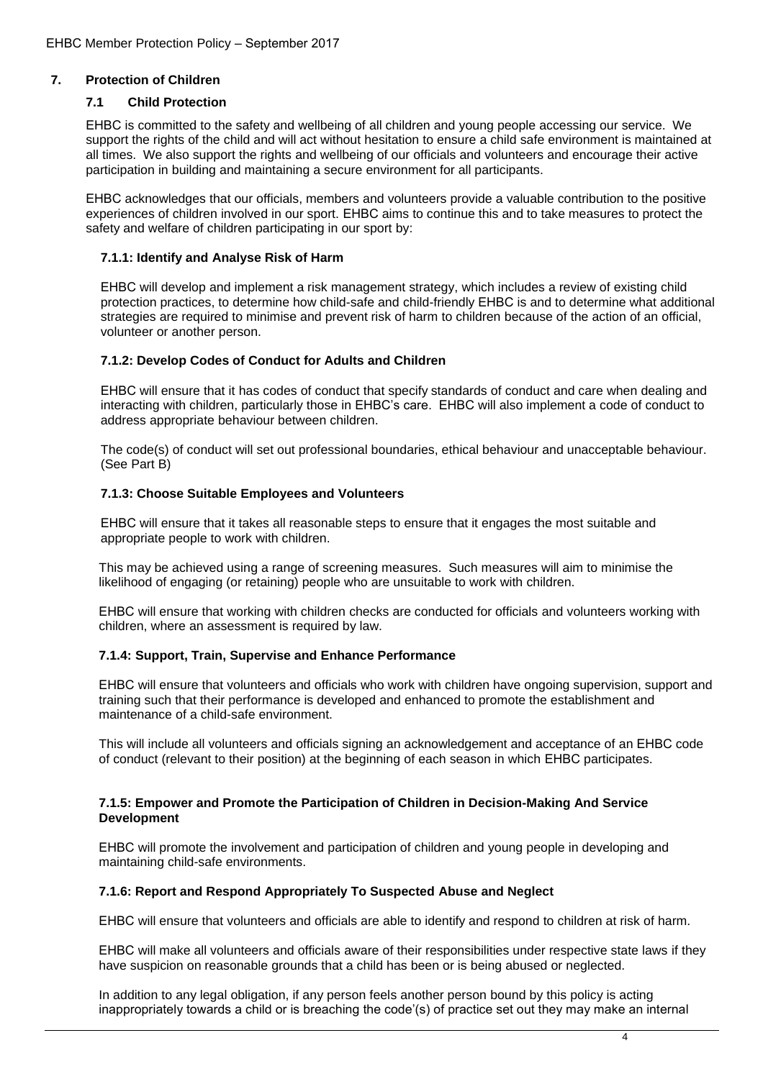## **7. Protection of Children**

## **7.1 Child Protection**

EHBC is committed to the safety and wellbeing of all children and young people accessing our service. We support the rights of the child and will act without hesitation to ensure a child safe environment is maintained at all times. We also support the rights and wellbeing of our officials and volunteers and encourage their active participation in building and maintaining a secure environment for all participants.

EHBC acknowledges that our officials, members and volunteers provide a valuable contribution to the positive experiences of children involved in our sport. EHBC aims to continue this and to take measures to protect the safety and welfare of children participating in our sport by:

#### **7.1.1: Identify and Analyse Risk of Harm**

EHBC will develop and implement a risk management strategy, which includes a review of existing child protection practices, to determine how child-safe and child-friendly EHBC is and to determine what additional strategies are required to minimise and prevent risk of harm to children because of the action of an official, volunteer or another person.

#### **7.1.2: Develop Codes of Conduct for Adults and Children**

EHBC will ensure that it has codes of conduct that specify standards of conduct and care when dealing and interacting with children, particularly those in EHBC's care. EHBC will also implement a code of conduct to address appropriate behaviour between children.

The code(s) of conduct will set out professional boundaries, ethical behaviour and unacceptable behaviour. (See Part B)

#### **7.1.3: Choose Suitable Employees and Volunteers**

EHBC will ensure that it takes all reasonable steps to ensure that it engages the most suitable and appropriate people to work with children.

This may be achieved using a range of screening measures. Such measures will aim to minimise the likelihood of engaging (or retaining) people who are unsuitable to work with children.

EHBC will ensure that working with children checks are conducted for officials and volunteers working with children, where an assessment is required by law.

## **7.1.4: Support, Train, Supervise and Enhance Performance**

EHBC will ensure that volunteers and officials who work with children have ongoing supervision, support and training such that their performance is developed and enhanced to promote the establishment and maintenance of a child-safe environment.

This will include all volunteers and officials signing an acknowledgement and acceptance of an EHBC code of conduct (relevant to their position) at the beginning of each season in which EHBC participates.

#### **7.1.5: Empower and Promote the Participation of Children in Decision-Making And Service Development**

EHBC will promote the involvement and participation of children and young people in developing and maintaining child-safe environments.

#### **7.1.6: Report and Respond Appropriately To Suspected Abuse and Neglect**

EHBC will ensure that volunteers and officials are able to identify and respond to children at risk of harm.

EHBC will make all volunteers and officials aware of their responsibilities under respective state laws if they have suspicion on reasonable grounds that a child has been or is being abused or neglected.

In addition to any legal obligation, if any person feels another person bound by this policy is acting inappropriately towards a child or is breaching the code'(s) of practice set out they may make an internal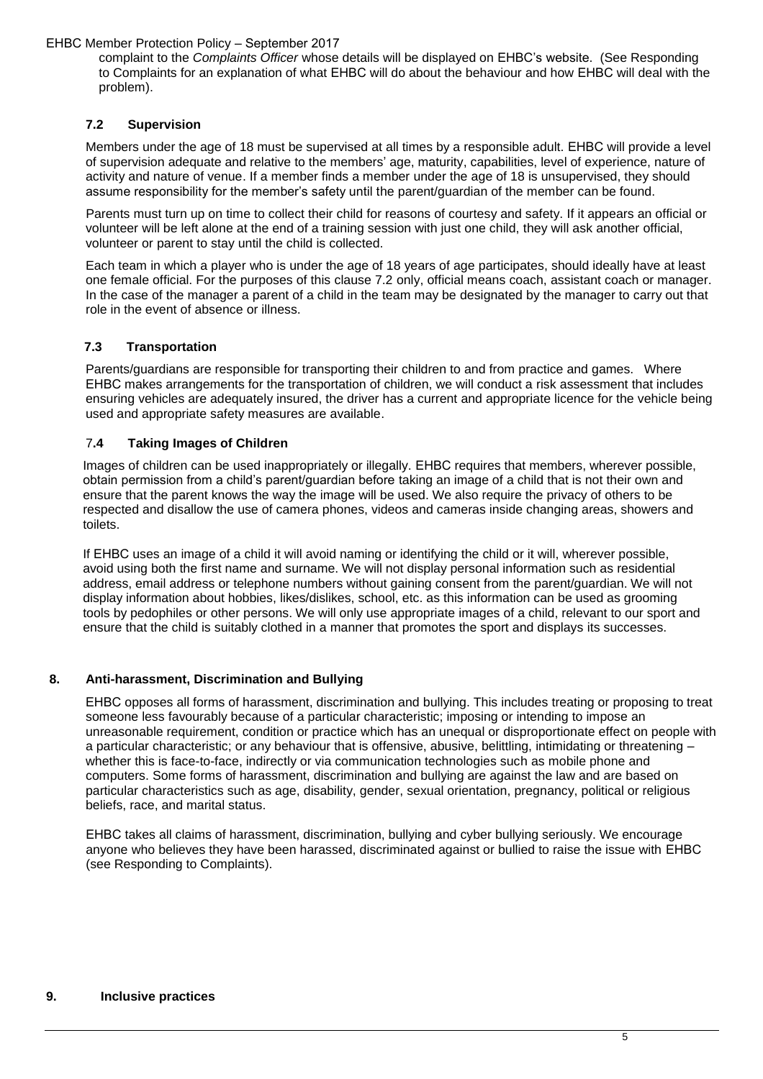complaint to the *Complaints Officer* whose details will be displayed on EHBC's website. (See Responding to Complaints for an explanation of what EHBC will do about the behaviour and how EHBC will deal with the problem).

## **7.2 Supervision**

Members under the age of 18 must be supervised at all times by a responsible adult. EHBC will provide a level of supervision adequate and relative to the members' age, maturity, capabilities, level of experience, nature of activity and nature of venue. If a member finds a member under the age of 18 is unsupervised, they should assume responsibility for the member's safety until the parent/guardian of the member can be found.

Parents must turn up on time to collect their child for reasons of courtesy and safety. If it appears an official or volunteer will be left alone at the end of a training session with just one child, they will ask another official, volunteer or parent to stay until the child is collected.

Each team in which a player who is under the age of 18 years of age participates, should ideally have at least one female official. For the purposes of this clause 7.2 only, official means coach, assistant coach or manager. In the case of the manager a parent of a child in the team may be designated by the manager to carry out that role in the event of absence or illness.

## **7.3 Transportation**

Parents/guardians are responsible for transporting their children to and from practice and games. Where EHBC makes arrangements for the transportation of children, we will conduct a risk assessment that includes ensuring vehicles are adequately insured, the driver has a current and appropriate licence for the vehicle being used and appropriate safety measures are available.

## 7**.4 Taking Images of Children**

Images of children can be used inappropriately or illegally. EHBC requires that members, wherever possible, obtain permission from a child's parent/guardian before taking an image of a child that is not their own and ensure that the parent knows the way the image will be used. We also require the privacy of others to be respected and disallow the use of camera phones, videos and cameras inside changing areas, showers and toilets.

If EHBC uses an image of a child it will avoid naming or identifying the child or it will, wherever possible, avoid using both the first name and surname. We will not display personal information such as residential address, email address or telephone numbers without gaining consent from the parent/guardian. We will not display information about hobbies, likes/dislikes, school, etc. as this information can be used as grooming tools by pedophiles or other persons. We will only use appropriate images of a child, relevant to our sport and ensure that the child is suitably clothed in a manner that promotes the sport and displays its successes.

## **8. Anti-harassment, Discrimination and Bullying**

EHBC opposes all forms of harassment, discrimination and bullying. This includes treating or proposing to treat someone less favourably because of a particular characteristic; imposing or intending to impose an unreasonable requirement, condition or practice which has an unequal or disproportionate effect on people with a particular characteristic; or any behaviour that is offensive, abusive, belittling, intimidating or threatening – whether this is face-to-face, indirectly or via communication technologies such as mobile phone and computers. Some forms of harassment, discrimination and bullying are against the law and are based on particular characteristics such as age, disability, gender, sexual orientation, pregnancy, political or religious beliefs, race, and marital status.

EHBC takes all claims of harassment, discrimination, bullying and cyber bullying seriously. We encourage anyone who believes they have been harassed, discriminated against or bullied to raise the issue with EHBC (see Responding to Complaints).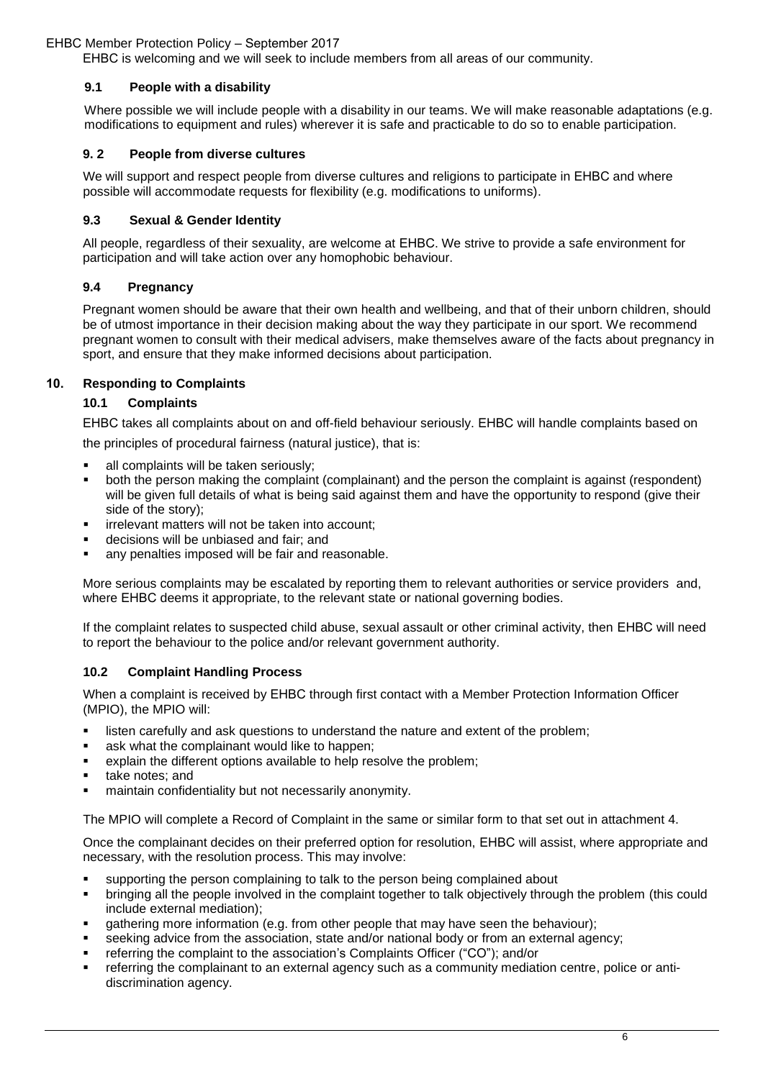EHBC is welcoming and we will seek to include members from all areas of our community.

## **9.1 People with a disability**

Where possible we will include people with a disability in our teams. We will make reasonable adaptations (e.g. modifications to equipment and rules) wherever it is safe and practicable to do so to enable participation.

#### **9. 2 People from diverse cultures**

We will support and respect people from diverse cultures and religions to participate in EHBC and where possible will accommodate requests for flexibility (e.g. modifications to uniforms).

#### **9.3 Sexual & Gender Identity**

All people, regardless of their sexuality, are welcome at EHBC. We strive to provide a safe environment for participation and will take action over any homophobic behaviour.

#### **9.4 Pregnancy**

Pregnant women should be aware that their own health and wellbeing, and that of their unborn children, should be of utmost importance in their decision making about the way they participate in our sport. We recommend pregnant women to consult with their medical advisers, make themselves aware of the facts about pregnancy in sport, and ensure that they make informed decisions about participation.

#### **10. Responding to Complaints**

#### **10.1 Complaints**

EHBC takes all complaints about on and off-field behaviour seriously. EHBC will handle complaints based on

the principles of procedural fairness (natural justice), that is:

- all complaints will be taken seriously;
- § both the person making the complaint (complainant) and the person the complaint is against (respondent) will be given full details of what is being said against them and have the opportunity to respond (give their side of the story);
- irrelevant matters will not be taken into account;
- decisions will be unbiased and fair; and
- any penalties imposed will be fair and reasonable.

More serious complaints may be escalated by reporting them to relevant authorities or service providers and, where EHBC deems it appropriate, to the relevant state or national governing bodies.

If the complaint relates to suspected child abuse, sexual assault or other criminal activity, then EHBC will need to report the behaviour to the police and/or relevant government authority.

#### **10.2 Complaint Handling Process**

When a complaint is received by EHBC through first contact with a Member Protection Information Officer (MPIO), the MPIO will:

- listen carefully and ask questions to understand the nature and extent of the problem;
- ask what the complainant would like to happen;
- explain the different options available to help resolve the problem;
- take notes; and
- maintain confidentiality but not necessarily anonymity.

The MPIO will complete a Record of Complaint in the same or similar form to that set out in attachment 4.

Once the complainant decides on their preferred option for resolution, EHBC will assist, where appropriate and necessary, with the resolution process. This may involve:

- supporting the person complaining to talk to the person being complained about
- bringing all the people involved in the complaint together to talk objectively through the problem (this could include external mediation);
- gathering more information (e.g. from other people that may have seen the behaviour);
- seeking advice from the association, state and/or national body or from an external agency;
- referring the complaint to the association's Complaints Officer ("CO"); and/or
- referring the complainant to an external agency such as a community mediation centre, police or antidiscrimination agency.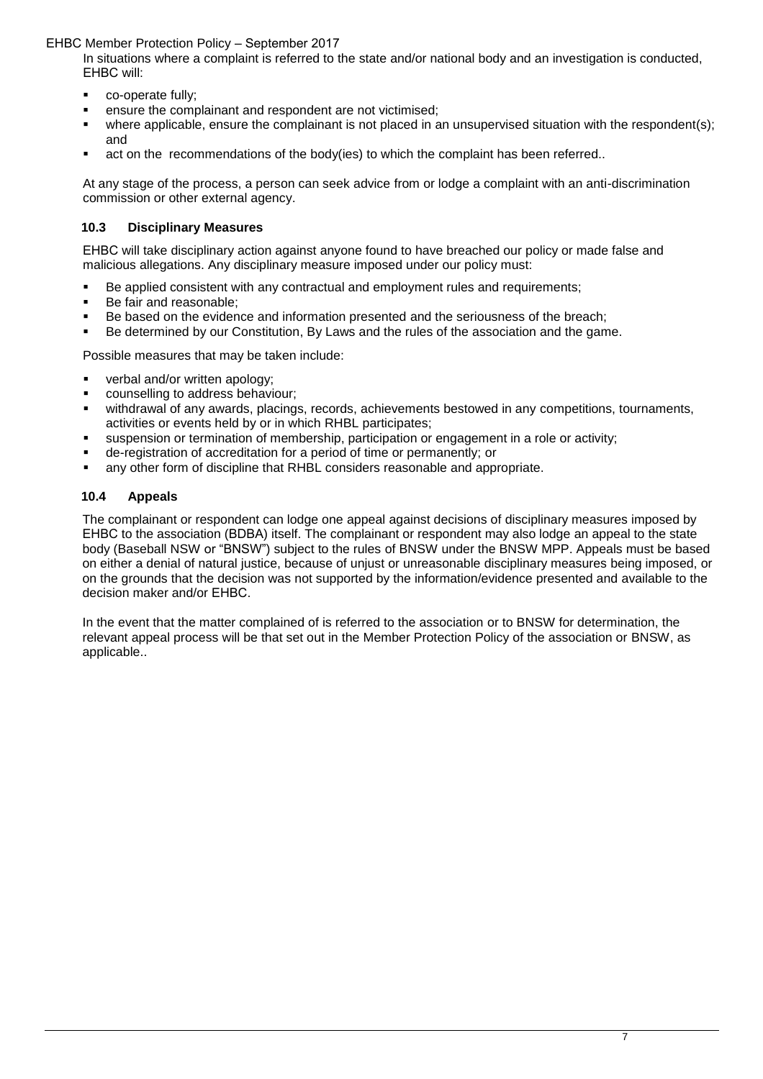In situations where a complaint is referred to the state and/or national body and an investigation is conducted, EHBC will:

- **•** co-operate fully;
- ensure the complainant and respondent are not victimised;
- where applicable, ensure the complainant is not placed in an unsupervised situation with the respondent(s); and
- act on the recommendations of the body(ies) to which the complaint has been referred..

At any stage of the process, a person can seek advice from or lodge a complaint with an anti-discrimination commission or other external agency.

## **10.3 Disciplinary Measures**

EHBC will take disciplinary action against anyone found to have breached our policy or made false and malicious allegations. Any disciplinary measure imposed under our policy must:

- Be applied consistent with any contractual and employment rules and requirements;<br>Be fair and reasonable:
- Be fair and reasonable;
- Be based on the evidence and information presented and the seriousness of the breach;
- Be determined by our Constitution, By Laws and the rules of the association and the game.

Possible measures that may be taken include:

- verbal and/or written apology;
- counselling to address behaviour;
- withdrawal of any awards, placings, records, achievements bestowed in any competitions, tournaments, activities or events held by or in which RHBL participates;
- suspension or termination of membership, participation or engagement in a role or activity;
- de-registration of accreditation for a period of time or permanently; or
- any other form of discipline that RHBL considers reasonable and appropriate.

## **10.4 Appeals**

The complainant or respondent can lodge one appeal against decisions of disciplinary measures imposed by EHBC to the association (BDBA) itself. The complainant or respondent may also lodge an appeal to the state body (Baseball NSW or "BNSW") subject to the rules of BNSW under the BNSW MPP. Appeals must be based on either a denial of natural justice, because of unjust or unreasonable disciplinary measures being imposed, or on the grounds that the decision was not supported by the information/evidence presented and available to the decision maker and/or EHBC.

In the event that the matter complained of is referred to the association or to BNSW for determination, the relevant appeal process will be that set out in the Member Protection Policy of the association or BNSW, as applicable..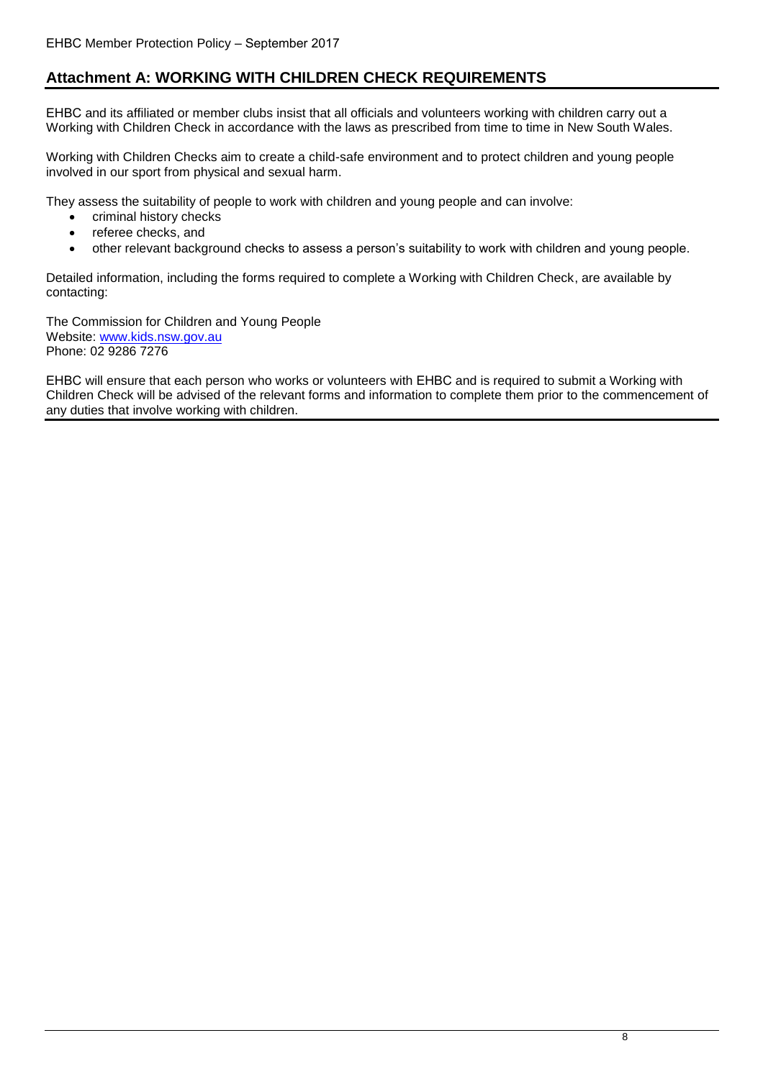# **Attachment A: WORKING WITH CHILDREN CHECK REQUIREMENTS**

EHBC and its affiliated or member clubs insist that all officials and volunteers working with children carry out a Working with Children Check in accordance with the laws as prescribed from time to time in New South Wales.

Working with Children Checks aim to create a child-safe environment and to protect children and young people involved in our sport from physical and sexual harm.

They assess the suitability of people to work with children and young people and can involve:

- criminal history checks
- referee checks, and
- other relevant background checks to assess a person's suitability to work with children and young people.

Detailed information, including the forms required to complete a Working with Children Check, are available by contacting:

The Commission for Children and Young People Website: [www.kids.nsw.gov.au](http://www.kids.nsw.gov.au/) Phone: 02 9286 7276

EHBC will ensure that each person who works or volunteers with EHBC and is required to submit a Working with Children Check will be advised of the relevant forms and information to complete them prior to the commencement of any duties that involve working with children.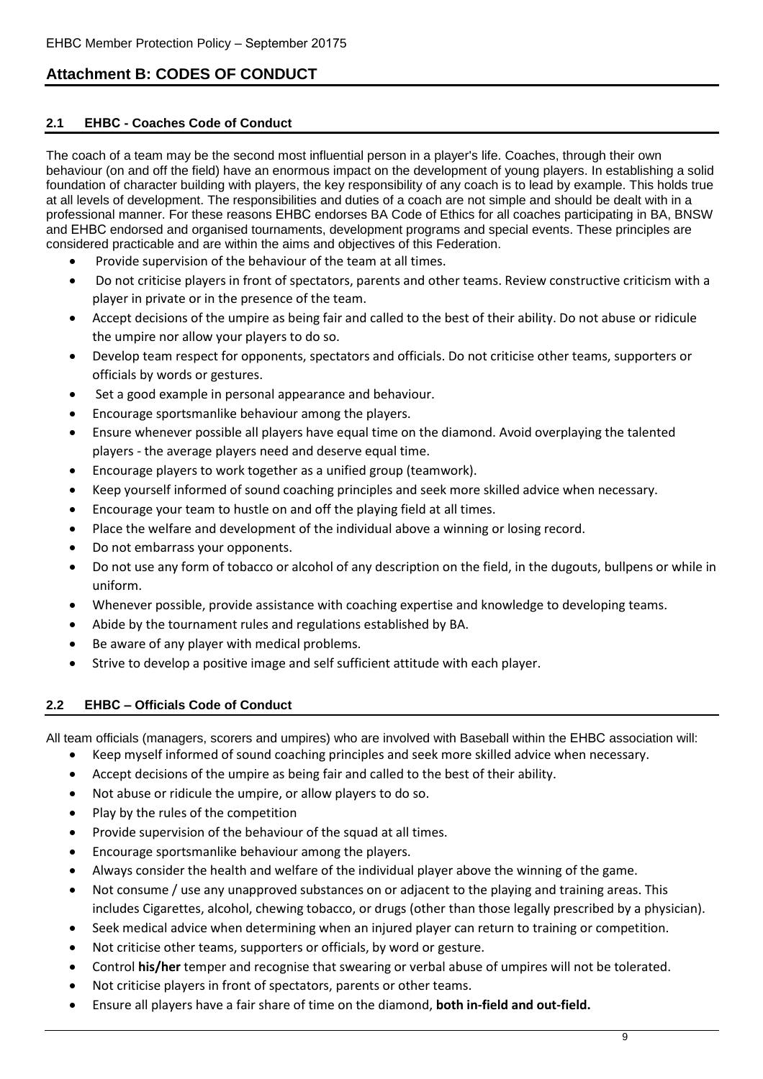# **Attachment B: CODES OF CONDUCT**

## **2.1 EHBC - Coaches Code of Conduct**

The coach of a team may be the second most influential person in a player's life. Coaches, through their own behaviour (on and off the field) have an enormous impact on the development of young players. In establishing a solid foundation of character building with players, the key responsibility of any coach is to lead by example. This holds true at all levels of development. The responsibilities and duties of a coach are not simple and should be dealt with in a professional manner. For these reasons EHBC endorses BA Code of Ethics for all coaches participating in BA, BNSW and EHBC endorsed and organised tournaments, development programs and special events. These principles are considered practicable and are within the aims and objectives of this Federation.

- Provide supervision of the behaviour of the team at all times.
- Do not criticise players in front of spectators, parents and other teams. Review constructive criticism with a player in private or in the presence of the team.
- Accept decisions of the umpire as being fair and called to the best of their ability. Do not abuse or ridicule the umpire nor allow your players to do so.
- Develop team respect for opponents, spectators and officials. Do not criticise other teams, supporters or officials by words or gestures.
- Set a good example in personal appearance and behaviour.
- Encourage sportsmanlike behaviour among the players.
- Ensure whenever possible all players have equal time on the diamond. Avoid overplaying the talented players - the average players need and deserve equal time.
- Encourage players to work together as a unified group (teamwork).
- Keep yourself informed of sound coaching principles and seek more skilled advice when necessary.
- Encourage your team to hustle on and off the playing field at all times.
- Place the welfare and development of the individual above a winning or losing record.
- Do not embarrass your opponents.
- Do not use any form of tobacco or alcohol of any description on the field, in the dugouts, bullpens or while in uniform.
- Whenever possible, provide assistance with coaching expertise and knowledge to developing teams.
- Abide by the tournament rules and regulations established by BA.
- Be aware of any player with medical problems.
- Strive to develop a positive image and self sufficient attitude with each player.

## **2.2 EHBC – Officials Code of Conduct**

All team officials (managers, scorers and umpires) who are involved with Baseball within the EHBC association will:

- Keep myself informed of sound coaching principles and seek more skilled advice when necessary.
- Accept decisions of the umpire as being fair and called to the best of their ability.
- Not abuse or ridicule the umpire, or allow players to do so.
- Play by the rules of the competition
- Provide supervision of the behaviour of the squad at all times.
- Encourage sportsmanlike behaviour among the players.
- Always consider the health and welfare of the individual player above the winning of the game.
- Not consume / use any unapproved substances on or adjacent to the playing and training areas. This includes Cigarettes, alcohol, chewing tobacco, or drugs (other than those legally prescribed by a physician).
- Seek medical advice when determining when an injured player can return to training or competition.
- Not criticise other teams, supporters or officials, by word or gesture.
- Control **his/her** temper and recognise that swearing or verbal abuse of umpires will not be tolerated.
- Not criticise players in front of spectators, parents or other teams.
- Ensure all players have a fair share of time on the diamond, **both in-field and out-field.**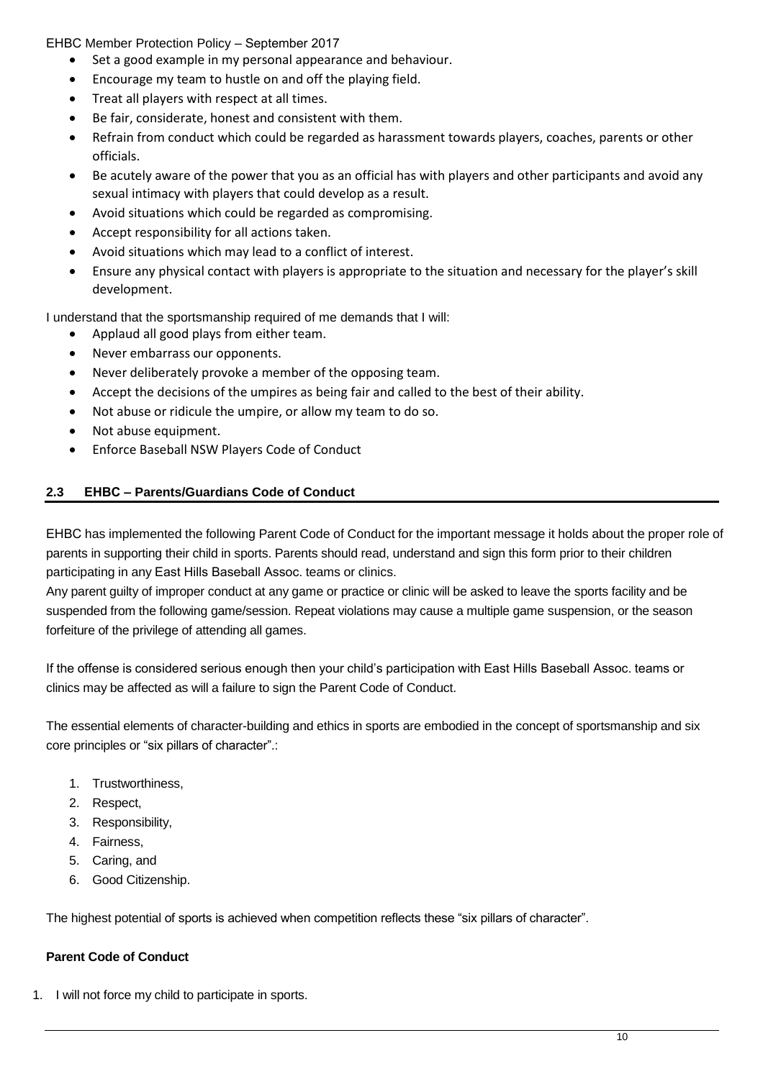EHBC Member Protection Policy – September 2017

- Set a good example in my personal appearance and behaviour.
- Encourage my team to hustle on and off the playing field.
- Treat all players with respect at all times.
- Be fair, considerate, honest and consistent with them.
- Refrain from conduct which could be regarded as harassment towards players, coaches, parents or other officials.
- Be acutely aware of the power that you as an official has with players and other participants and avoid any sexual intimacy with players that could develop as a result.
- Avoid situations which could be regarded as compromising.
- Accept responsibility for all actions taken.
- Avoid situations which may lead to a conflict of interest.
- Ensure any physical contact with players is appropriate to the situation and necessary for the player's skill development.

I understand that the sportsmanship required of me demands that I will:

- Applaud all good plays from either team.
- Never embarrass our opponents.
- Never deliberately provoke a member of the opposing team.
- Accept the decisions of the umpires as being fair and called to the best of their ability.
- Not abuse or ridicule the umpire, or allow my team to do so.
- Not abuse equipment.
- Enforce Baseball NSW Players Code of Conduct

## **2.3 EHBC – Parents/Guardians Code of Conduct**

EHBC has implemented the following Parent Code of Conduct for the important message it holds about the proper role of parents in supporting their child in sports. Parents should read, understand and sign this form prior to their children participating in any East Hills Baseball Assoc. teams or clinics.

Any parent guilty of improper conduct at any game or practice or clinic will be asked to leave the sports facility and be suspended from the following game/session. Repeat violations may cause a multiple game suspension, or the season forfeiture of the privilege of attending all games.

If the offense is considered serious enough then your child's participation with East Hills Baseball Assoc. teams or clinics may be affected as will a failure to sign the Parent Code of Conduct.

The essential elements of character-building and ethics in sports are embodied in the concept of sportsmanship and six core principles or "six pillars of character".:

- 1. Trustworthiness,
- 2. Respect,
- 3. Responsibility,
- 4. Fairness,
- 5. Caring, and
- 6. Good Citizenship.

The highest potential of sports is achieved when competition reflects these "six pillars of character".

## **Parent Code of Conduct**

1. I will not force my child to participate in sports.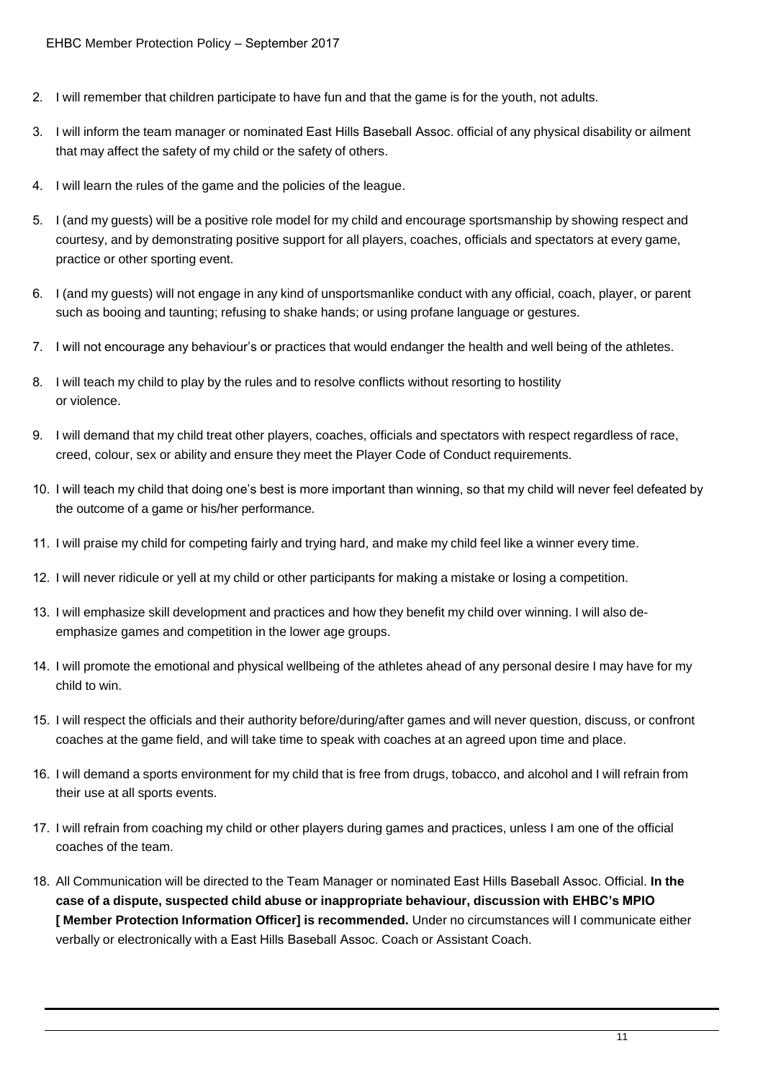- 2. I will remember that children participate to have fun and that the game is for the youth, not adults.
- 3. I will inform the team manager or nominated East Hills Baseball Assoc. official of any physical disability or ailment that may affect the safety of my child or the safety of others.
- 4. I will learn the rules of the game and the policies of the league.
- 5. I (and my guests) will be a positive role model for my child and encourage sportsmanship by showing respect and courtesy, and by demonstrating positive support for all players, coaches, officials and spectators at every game, practice or other sporting event.
- 6. I (and my guests) will not engage in any kind of unsportsmanlike conduct with any official, coach, player, or parent such as booing and taunting; refusing to shake hands; or using profane language or gestures.
- 7. I will not encourage any behaviour's or practices that would endanger the health and well being of the athletes.
- 8. I will teach my child to play by the rules and to resolve conflicts without resorting to hostility or violence.
- 9. I will demand that my child treat other players, coaches, officials and spectators with respect regardless of race, creed, colour, sex or ability and ensure they meet the Player Code of Conduct requirements.
- 10. I will teach my child that doing one's best is more important than winning, so that my child will never feel defeated by the outcome of a game or his/her performance.
- 11. I will praise my child for competing fairly and trying hard, and make my child feel like a winner every time.
- 12. I will never ridicule or yell at my child or other participants for making a mistake or losing a competition.
- 13. I will emphasize skill development and practices and how they benefit my child over winning. I will also deemphasize games and competition in the lower age groups.
- 14. I will promote the emotional and physical wellbeing of the athletes ahead of any personal desire I may have for my child to win.
- 15. I will respect the officials and their authority before/during/after games and will never question, discuss, or confront coaches at the game field, and will take time to speak with coaches at an agreed upon time and place.
- 16. I will demand a sports environment for my child that is free from drugs, tobacco, and alcohol and I will refrain from their use at all sports events.
- 17. I will refrain from coaching my child or other players during games and practices, unless I am one of the official coaches of the team.
- 18. All Communication will be directed to the Team Manager or nominated East Hills Baseball Assoc. Official. **In the case of a dispute, suspected child abuse or inappropriate behaviour, discussion with EHBC's MPIO [ Member Protection Information Officer] is recommended.** Under no circumstances will I communicate either verbally or electronically with a East Hills Baseball Assoc. Coach or Assistant Coach.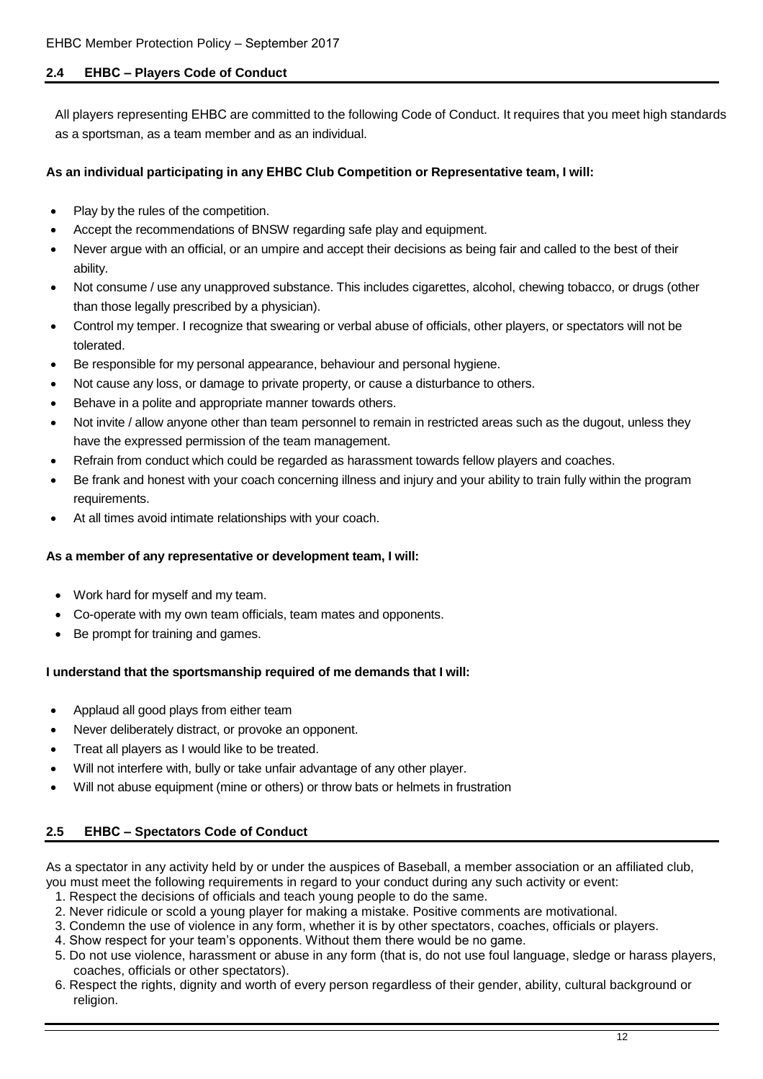## **2.4 EHBC – Players Code of Conduct**

All players representing EHBC are committed to the following Code of Conduct. It requires that you meet high standards as a sportsman, as a team member and as an individual.

## **As an individual participating in any EHBC Club Competition or Representative team, I will:**

- Play by the rules of the competition.
- Accept the recommendations of BNSW regarding safe play and equipment.
- Never argue with an official, or an umpire and accept their decisions as being fair and called to the best of their ability.
- Not consume / use any unapproved substance. This includes cigarettes, alcohol, chewing tobacco, or drugs (other than those legally prescribed by a physician).
- Control my temper. I recognize that swearing or verbal abuse of officials, other players, or spectators will not be tolerated.
- Be responsible for my personal appearance, behaviour and personal hygiene.
- Not cause any loss, or damage to private property, or cause a disturbance to others.
- Behave in a polite and appropriate manner towards others.
- Not invite / allow anyone other than team personnel to remain in restricted areas such as the dugout, unless they have the expressed permission of the team management.
- Refrain from conduct which could be regarded as harassment towards fellow players and coaches.
- Be frank and honest with your coach concerning illness and injury and your ability to train fully within the program requirements.
- At all times avoid intimate relationships with your coach.

## **As a member of any representative or development team, I will:**

- Work hard for myself and my team.
- Co-operate with my own team officials, team mates and opponents.
- Be prompt for training and games.

## **I understand that the sportsmanship required of me demands that I will:**

- Applaud all good plays from either team
- Never deliberately distract, or provoke an opponent.
- Treat all players as I would like to be treated.
- Will not interfere with, bully or take unfair advantage of any other player.
- Will not abuse equipment (mine or others) or throw bats or helmets in frustration

## **2.5 EHBC – Spectators Code of Conduct**

As a spectator in any activity held by or under the auspices of Baseball, a member association or an affiliated club, you must meet the following requirements in regard to your conduct during any such activity or event:

- 1. Respect the decisions of officials and teach young people to do the same.
- 2. Never ridicule or scold a young player for making a mistake. Positive comments are motivational.
- 3. Condemn the use of violence in any form, whether it is by other spectators, coaches, officials or players.
- 4. Show respect for your team's opponents. Without them there would be no game.
- 5. Do not use violence, harassment or abuse in any form (that is, do not use foul language, sledge or harass players, coaches, officials or other spectators).
- 6. Respect the rights, dignity and worth of every person regardless of their gender, ability, cultural background or religion.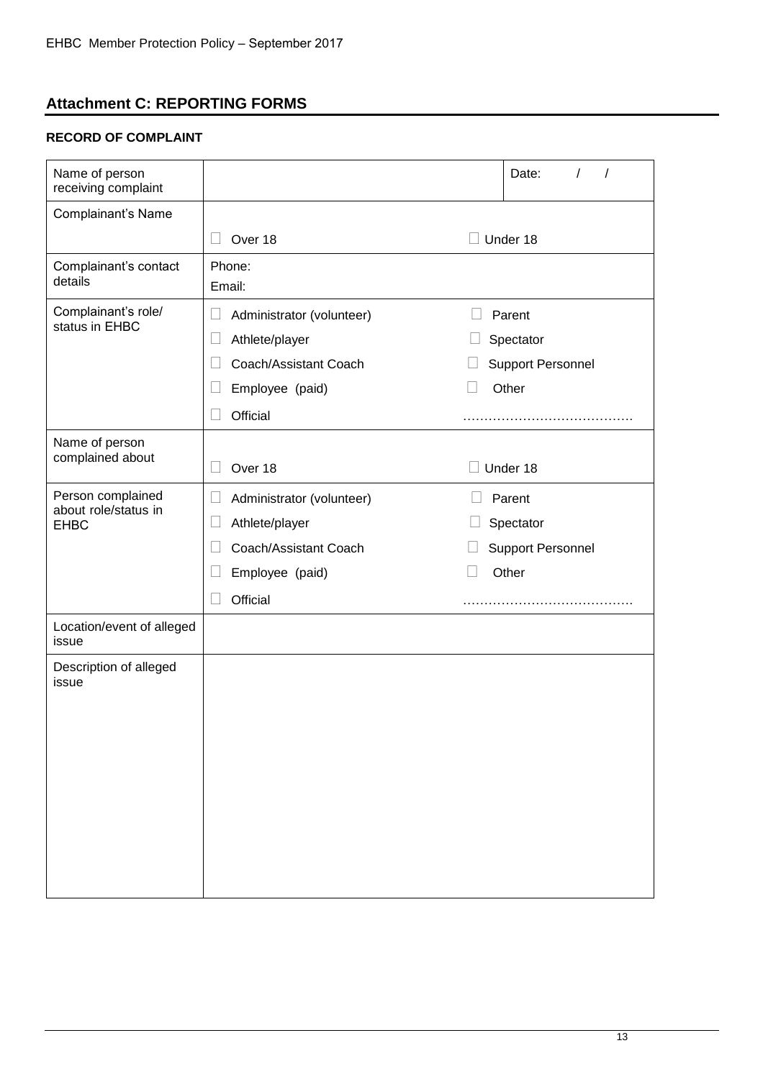# **Attachment C: REPORTING FORMS**

## **RECORD OF COMPLAINT**

| Name of person<br>receiving complaint                    |                                                                                                                         | Date:                                                    |
|----------------------------------------------------------|-------------------------------------------------------------------------------------------------------------------------|----------------------------------------------------------|
| Complainant's Name                                       |                                                                                                                         |                                                          |
|                                                          | Over 18<br>$\Box$                                                                                                       | Under 18                                                 |
| Complainant's contact<br>details                         | Phone:<br>Email:                                                                                                        |                                                          |
| Complainant's role/<br>status in EHBC                    | Administrator (volunteer)<br>$\Box$<br>Athlete/player<br>Coach/Assistant Coach<br>Ш<br>Employee (paid)<br>$\Box$        | Parent<br>Spectator<br><b>Support Personnel</b><br>Other |
|                                                          | Official<br>$\mathbf{I}$                                                                                                |                                                          |
| Name of person<br>complained about                       | Over 18                                                                                                                 | Under 18                                                 |
| Person complained<br>about role/status in<br><b>EHBC</b> | $\Box$<br>Administrator (volunteer)<br>Athlete/player<br>$\Box$<br>Coach/Assistant Coach<br>Employee (paid)<br>Official | Parent<br>Spectator<br>Support Personnel<br>Other        |
| Location/event of alleged<br>issue                       |                                                                                                                         |                                                          |
| Description of alleged<br>issue                          |                                                                                                                         |                                                          |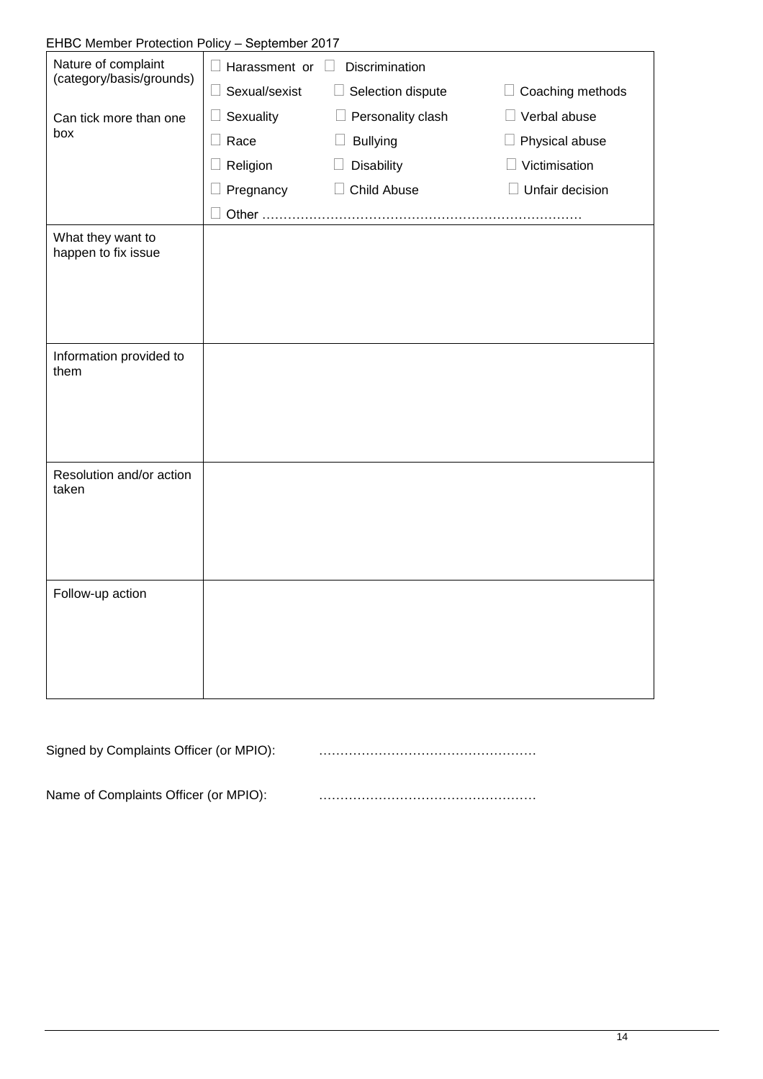# EHBC Member Protection Policy – September 2017

| Nature of complaint<br>(category/basis/grounds) | Discrimination<br>$\Box$ Harassment or $\Box$ |                           |                           |  |
|-------------------------------------------------|-----------------------------------------------|---------------------------|---------------------------|--|
|                                                 | $\Box$ Sexual/sexist                          | $\Box$ Selection dispute  | Coaching methods          |  |
| Can tick more than one<br>box                   | Sexuality<br>$\Box$                           | $\Box$ Personality clash  | Verbal abuse              |  |
|                                                 | $\Box$ Race                                   | <b>Bullying</b><br>$\Box$ | $\Box$ Physical abuse     |  |
|                                                 | Religion                                      | <b>Disability</b>         | Victimisation             |  |
|                                                 | $\Box$ Pregnancy                              | Child Abuse               | Unfair decision<br>$\Box$ |  |
|                                                 |                                               |                           |                           |  |
| What they want to<br>happen to fix issue        |                                               |                           |                           |  |
|                                                 |                                               |                           |                           |  |
|                                                 |                                               |                           |                           |  |
| Information provided to<br>them                 |                                               |                           |                           |  |
|                                                 |                                               |                           |                           |  |
|                                                 |                                               |                           |                           |  |
| Resolution and/or action<br>taken               |                                               |                           |                           |  |
|                                                 |                                               |                           |                           |  |
|                                                 |                                               |                           |                           |  |
| Follow-up action                                |                                               |                           |                           |  |
|                                                 |                                               |                           |                           |  |
|                                                 |                                               |                           |                           |  |
|                                                 |                                               |                           |                           |  |

Signed by Complaints Officer (or MPIO): ……………………………………………

Name of Complaints Officer (or MPIO): **www.material.community.org/**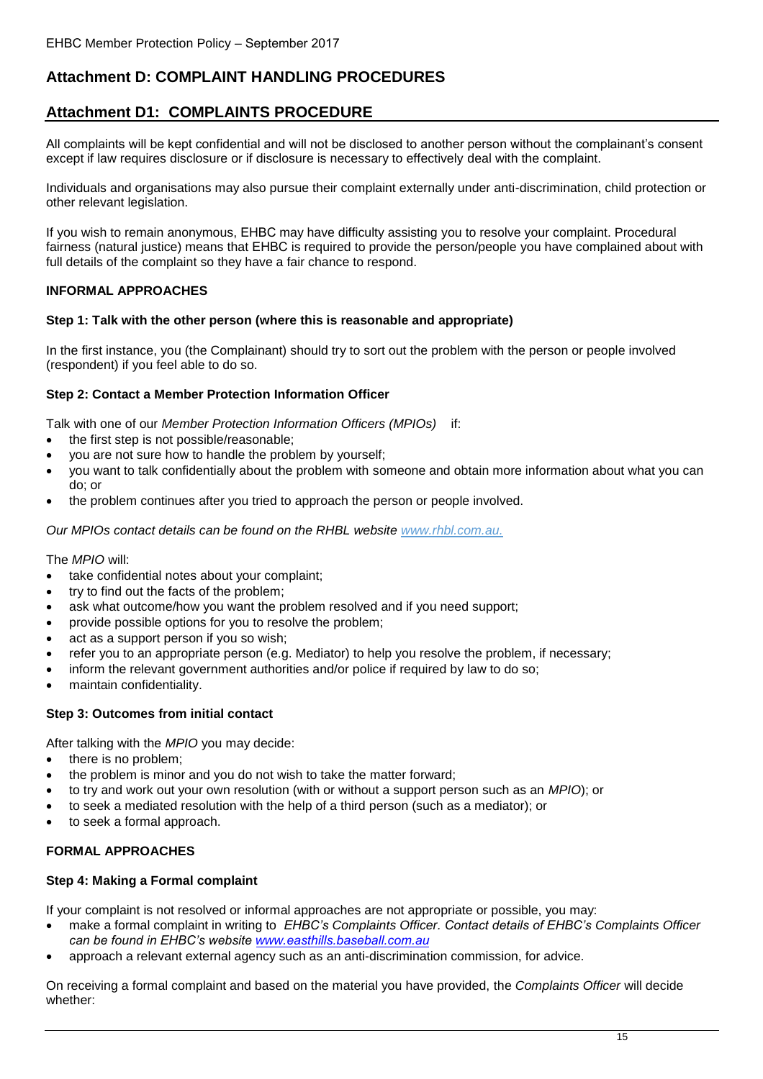# **Attachment D: COMPLAINT HANDLING PROCEDURES**

## **Attachment D1: COMPLAINTS PROCEDURE**

All complaints will be kept confidential and will not be disclosed to another person without the complainant's consent except if law requires disclosure or if disclosure is necessary to effectively deal with the complaint.

Individuals and organisations may also pursue their complaint externally under anti-discrimination, child protection or other relevant legislation.

If you wish to remain anonymous, EHBC may have difficulty assisting you to resolve your complaint. Procedural fairness (natural justice) means that EHBC is required to provide the person/people you have complained about with full details of the complaint so they have a fair chance to respond.

## **INFORMAL APPROACHES**

## **Step 1: Talk with the other person (where this is reasonable and appropriate)**

In the first instance, you (the Complainant) should try to sort out the problem with the person or people involved (respondent) if you feel able to do so.

## **Step 2: Contact a Member Protection Information Officer**

Talk with one of our *Member Protection Information Officers (MPIOs)* if:

- the first step is not possible/reasonable;
- you are not sure how to handle the problem by yourself;
- you want to talk confidentially about the problem with someone and obtain more information about what you can do; or
- the problem continues after you tried to approach the person or people involved.

*Our MPIOs contact details can be found on the EHBC website www.easthills.baseball.com.au* The *MPIO* will:

- take confidential notes about your complaint;
- try to find out the facts of the problem;
- ask what outcome/how you want the problem resolved and if you need support;
- provide possible options for you to resolve the problem;
- act as a support person if you so wish;
- refer you to an appropriate person (e.g. Mediator) to help you resolve the problem, if necessary;
- inform the relevant government authorities and/or police if required by law to do so;
- maintain confidentiality.

## **Step 3: Outcomes from initial contact**

After talking with the *MPIO* you may decide:

- there is no problem;
- the problem is minor and you do not wish to take the matter forward;
- to try and work out your own resolution (with or without a support person such as an *MPIO*); or
- to seek a mediated resolution with the help of a third person (such as a mediator); or
- to seek a formal approach.

## **FORMAL APPROACHES**

## **Step 4: Making a Formal complaint**

If your complaint is not resolved or informal approaches are not appropriate or possible, you may:

- make a formal complaint in writing to *EHBC's Complaints Officer. Contact details of EHBC's Complaints Officer can be found in EHBC's website www.[easthills.bas](http://www.rhbl.com.au/)eball.com.au*
- approach a relevant external agency such as an anti-discrimination commission, for advice.

On receiving a formal complaint and based on the material you have provided, the *Complaints Officer* will decide whether: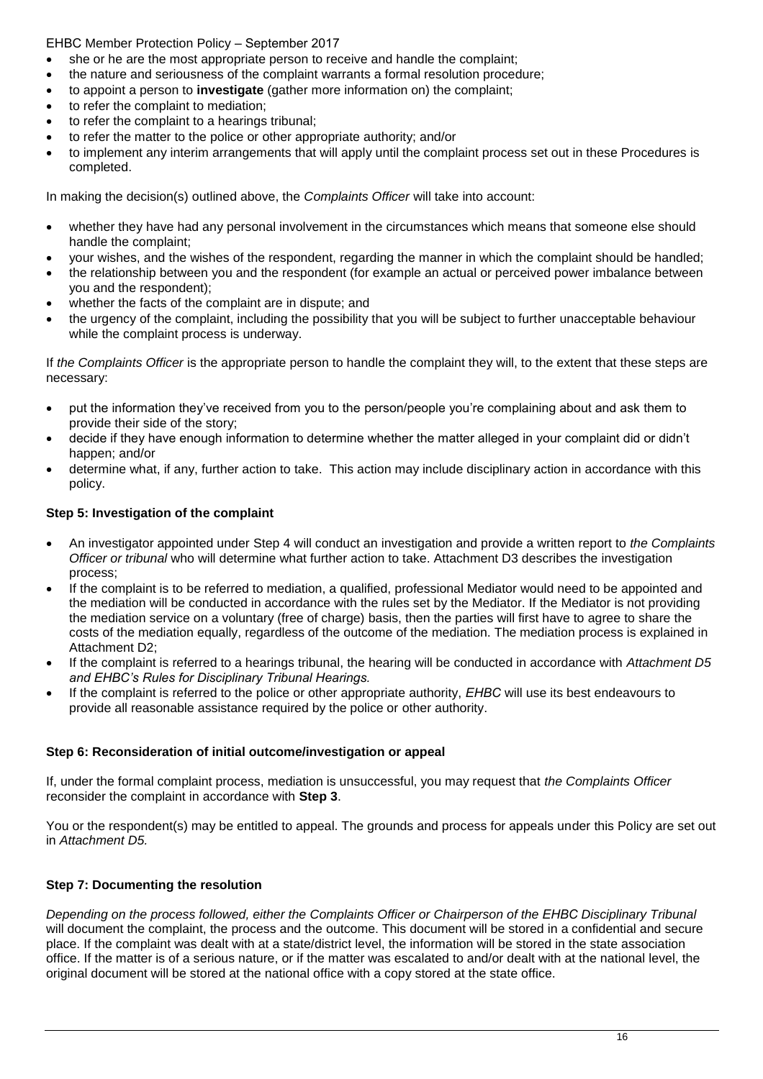- she or he are the most appropriate person to receive and handle the complaint;
- the nature and seriousness of the complaint warrants a formal resolution procedure;
- to appoint a person to **investigate** (gather more information on) the complaint;
- to refer the complaint to mediation;
- to refer the complaint to a hearings tribunal;
- to refer the matter to the police or other appropriate authority; and/or
- to implement any interim arrangements that will apply until the complaint process set out in these Procedures is completed.

In making the decision(s) outlined above, the *Complaints Officer* will take into account:

- whether they have had any personal involvement in the circumstances which means that someone else should handle the complaint;
- your wishes, and the wishes of the respondent, regarding the manner in which the complaint should be handled;
- the relationship between you and the respondent (for example an actual or perceived power imbalance between you and the respondent);
- whether the facts of the complaint are in dispute; and
- the urgency of the complaint, including the possibility that you will be subject to further unacceptable behaviour while the complaint process is underway.

If *the Complaints Officer* is the appropriate person to handle the complaint they will, to the extent that these steps are necessary:

- put the information they've received from you to the person/people you're complaining about and ask them to provide their side of the story;
- decide if they have enough information to determine whether the matter alleged in your complaint did or didn't happen; and/or
- determine what, if any, further action to take. This action may include disciplinary action in accordance with this policy.

#### **Step 5: Investigation of the complaint**

- An investigator appointed under Step 4 will conduct an investigation and provide a written report to *the Complaints Officer or tribunal* who will determine what further action to take. Attachment D3 describes the investigation process;
- If the complaint is to be referred to mediation, a qualified, professional Mediator would need to be appointed and the mediation will be conducted in accordance with the rules set by the Mediator. If the Mediator is not providing the mediation service on a voluntary (free of charge) basis, then the parties will first have to agree to share the costs of the mediation equally, regardless of the outcome of the mediation. The mediation process is explained in Attachment D2;
- If the complaint is referred to a hearings tribunal, the hearing will be conducted in accordance with *Attachment D5 and EHBC's Rules for Disciplinary Tribunal Hearings.*
- If the complaint is referred to the police or other appropriate authority, *EHBC* will use its best endeavours to provide all reasonable assistance required by the police or other authority.

## **Step 6: Reconsideration of initial outcome/investigation or appeal**

If, under the formal complaint process, mediation is unsuccessful, you may request that *the Complaints Officer*  reconsider the complaint in accordance with **Step 3**.

You or the respondent(s) may be entitled to appeal. The grounds and process for appeals under this Policy are set out in *Attachment D5.*

## **Step 7: Documenting the resolution**

*Depending on the process followed, either the Complaints Officer or Chairperson of the EHBC Disciplinary Tribunal* will document the complaint, the process and the outcome. This document will be stored in a confidential and secure place. If the complaint was dealt with at a state/district level, the information will be stored in the state association office. If the matter is of a serious nature, or if the matter was escalated to and/or dealt with at the national level, the original document will be stored at the national office with a copy stored at the state office.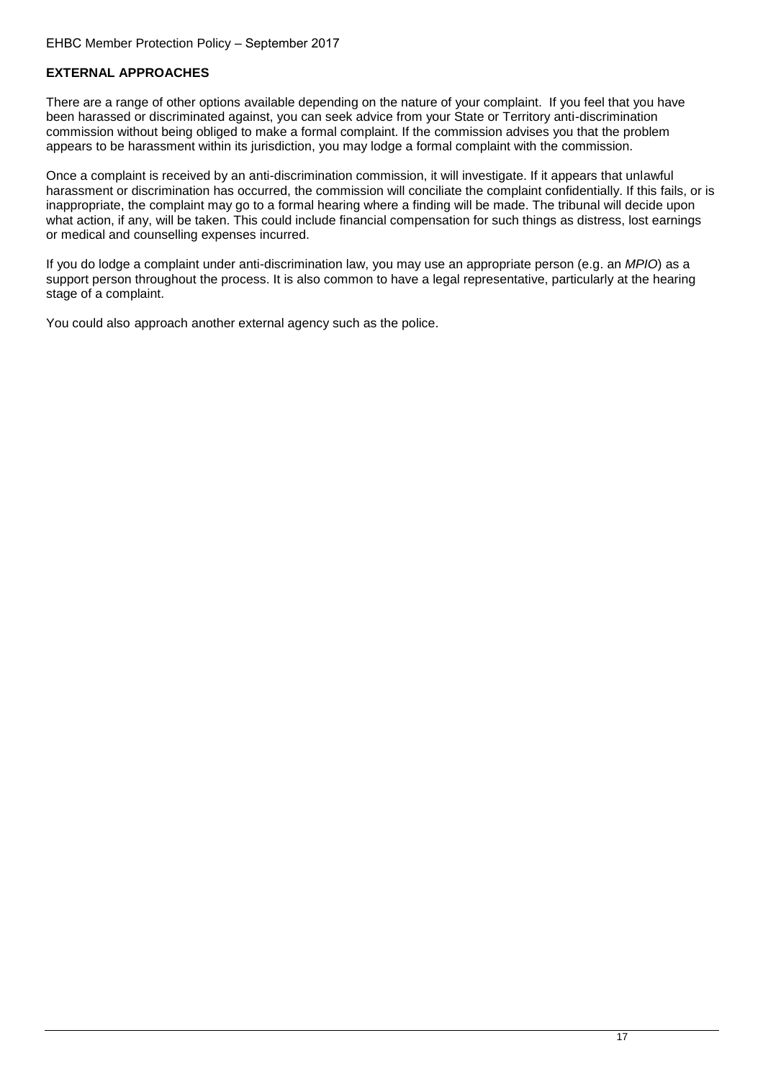## **EXTERNAL APPROACHES**

There are a range of other options available depending on the nature of your complaint. If you feel that you have been harassed or discriminated against, you can seek advice from your State or Territory anti-discrimination commission without being obliged to make a formal complaint. If the commission advises you that the problem appears to be harassment within its jurisdiction, you may lodge a formal complaint with the commission.

Once a complaint is received by an anti-discrimination commission, it will investigate. If it appears that unlawful harassment or discrimination has occurred, the commission will conciliate the complaint confidentially. If this fails, or is inappropriate, the complaint may go to a formal hearing where a finding will be made. The tribunal will decide upon what action, if any, will be taken. This could include financial compensation for such things as distress, lost earnings or medical and counselling expenses incurred.

If you do lodge a complaint under anti-discrimination law, you may use an appropriate person (e.g. an *MPIO*) as a support person throughout the process. It is also common to have a legal representative, particularly at the hearing stage of a complaint.

You could also approach another external agency such as the police.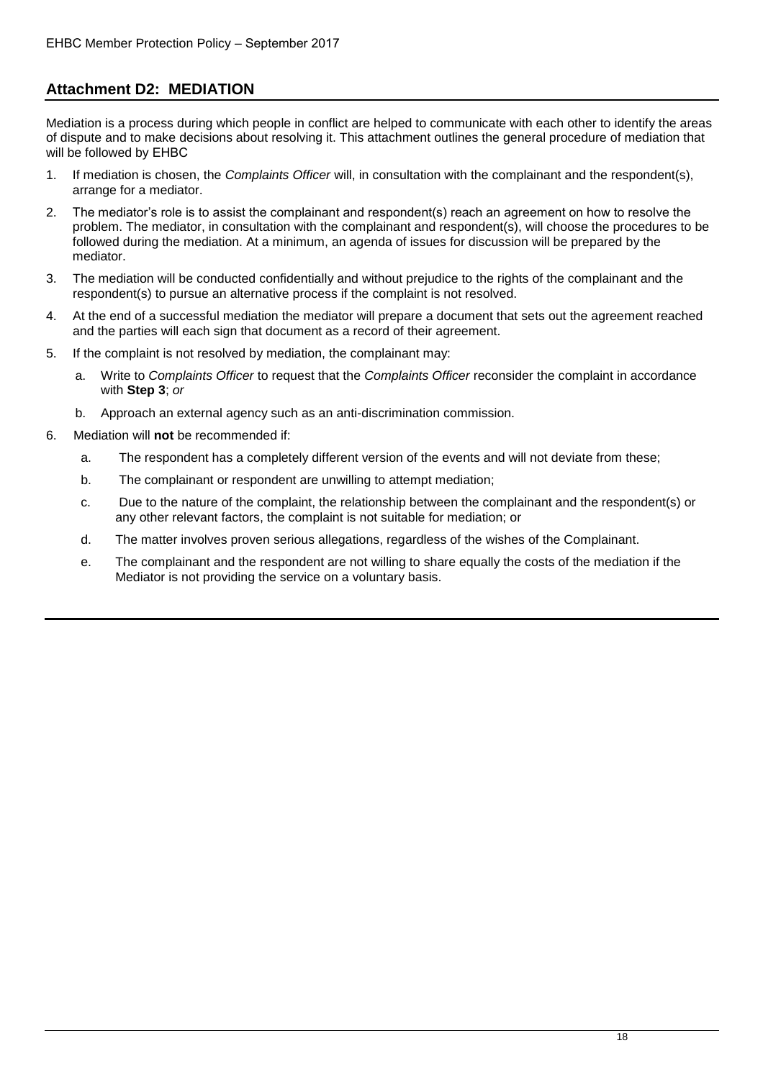## **Attachment D2: MEDIATION**

Mediation is a process during which people in conflict are helped to communicate with each other to identify the areas of dispute and to make decisions about resolving it. This attachment outlines the general procedure of mediation that will be followed by EHBC

- 1. If mediation is chosen, the *Complaints Officer* will, in consultation with the complainant and the respondent(s), arrange for a mediator.
- 2. The mediator's role is to assist the complainant and respondent(s) reach an agreement on how to resolve the problem. The mediator, in consultation with the complainant and respondent(s), will choose the procedures to be followed during the mediation. At a minimum, an agenda of issues for discussion will be prepared by the mediator.
- 3. The mediation will be conducted confidentially and without prejudice to the rights of the complainant and the respondent(s) to pursue an alternative process if the complaint is not resolved.
- 4. At the end of a successful mediation the mediator will prepare a document that sets out the agreement reached and the parties will each sign that document as a record of their agreement.
- 5. If the complaint is not resolved by mediation, the complainant may:
	- a. Write to *Complaints Officer* to request that the *Complaints Officer* reconsider the complaint in accordance with **Step 3**; *or*
	- b. Approach an external agency such as an anti-discrimination commission.
- 6. Mediation will **not** be recommended if:
	- a. The respondent has a completely different version of the events and will not deviate from these;
	- b. The complainant or respondent are unwilling to attempt mediation;
	- c. Due to the nature of the complaint, the relationship between the complainant and the respondent(s) or any other relevant factors, the complaint is not suitable for mediation; or
	- d. The matter involves proven serious allegations, regardless of the wishes of the Complainant.
	- e. The complainant and the respondent are not willing to share equally the costs of the mediation if the Mediator is not providing the service on a voluntary basis.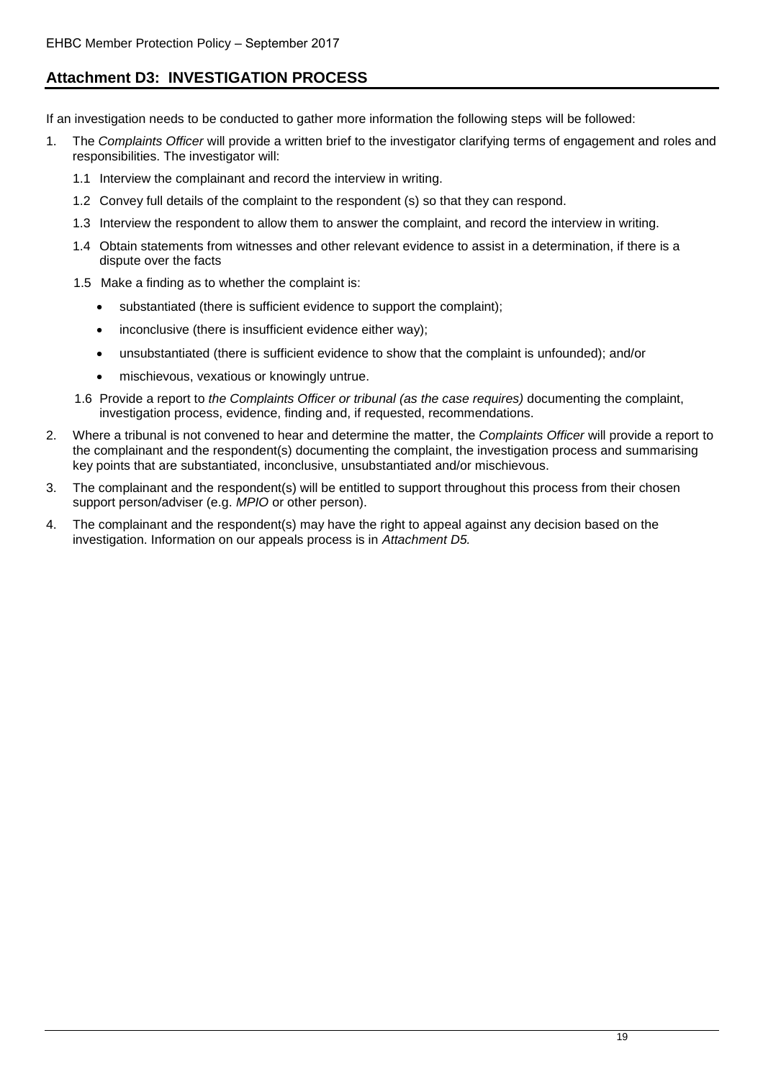# **Attachment D3: INVESTIGATION PROCESS**

If an investigation needs to be conducted to gather more information the following steps will be followed:

- 1. The *Complaints Officer* will provide a written brief to the investigator clarifying terms of engagement and roles and responsibilities. The investigator will:
	- 1.1 Interview the complainant and record the interview in writing.
	- 1.2 Convey full details of the complaint to the respondent (s) so that they can respond.
	- 1.3 Interview the respondent to allow them to answer the complaint, and record the interview in writing.
	- 1.4 Obtain statements from witnesses and other relevant evidence to assist in a determination, if there is a dispute over the facts
	- 1.5 Make a finding as to whether the complaint is:
		- substantiated (there is sufficient evidence to support the complaint);
		- inconclusive (there is insufficient evidence either way);
		- unsubstantiated (there is sufficient evidence to show that the complaint is unfounded); and/or
		- mischievous, vexatious or knowingly untrue.
	- 1.6 Provide a report to *the Complaints Officer or tribunal (as the case requires)* documenting the complaint, investigation process, evidence, finding and, if requested, recommendations.
- 2. Where a tribunal is not convened to hear and determine the matter, the *Complaints Officer* will provide a report to the complainant and the respondent(s) documenting the complaint, the investigation process and summarising key points that are substantiated, inconclusive, unsubstantiated and/or mischievous.
- 3. The complainant and the respondent(s) will be entitled to support throughout this process from their chosen support person/adviser (e.g. *MPIO* or other person).
- 4. The complainant and the respondent(s) may have the right to appeal against any decision based on the investigation. Information on our appeals process is in *Attachment D5.*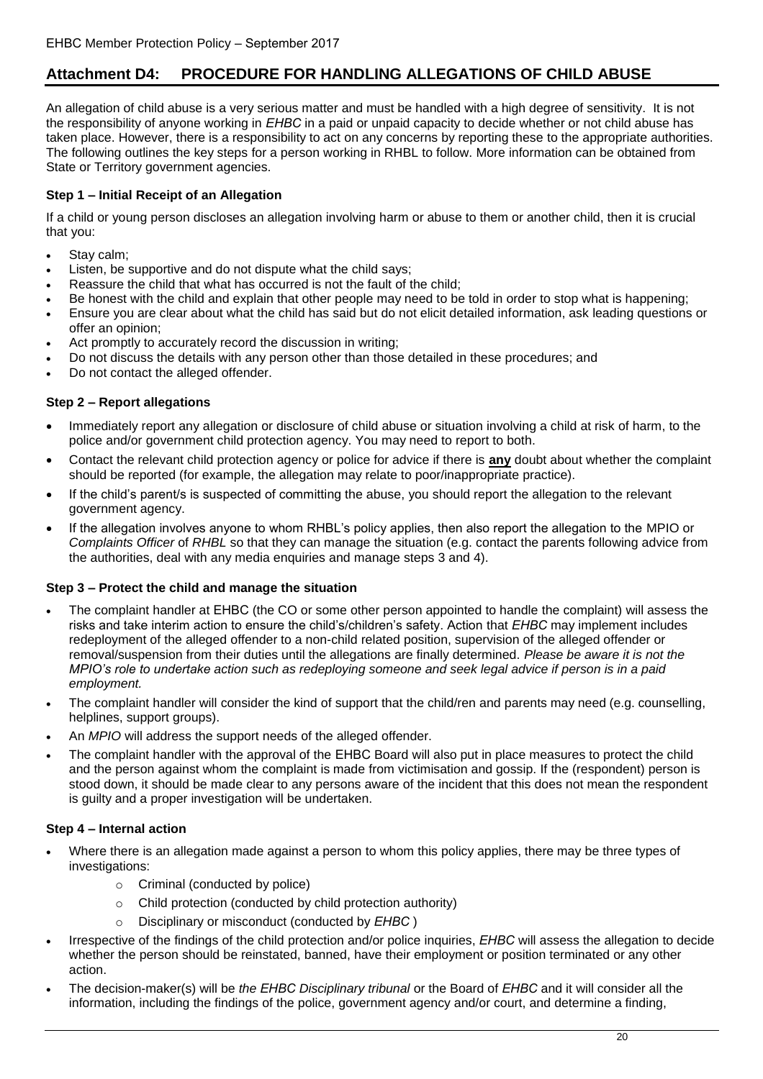# **Attachment D4: PROCEDURE FOR HANDLING ALLEGATIONS OF CHILD ABUSE**

An allegation of child abuse is a very serious matter and must be handled with a high degree of sensitivity. It is not the responsibility of anyone working in *EHBC* in a paid or unpaid capacity to decide whether or not child abuse has taken place. However, there is a responsibility to act on any concerns by reporting these to the appropriate authorities. The following outlines the key steps for a person working in EHBC to follow. More information can be obtained from State or Territory government agencies.

## **Step 1 – Initial Receipt of an Allegation**

If a child or young person discloses an allegation involving harm or abuse to them or another child, then it is crucial that you:

- Stay calm;
- Listen, be supportive and do not dispute what the child says;
- Reassure the child that what has occurred is not the fault of the child;
- Be honest with the child and explain that other people may need to be told in order to stop what is happening;
- Ensure you are clear about what the child has said but do not elicit detailed information, ask leading questions or offer an opinion;
- Act promptly to accurately record the discussion in writing;
- Do not discuss the details with any person other than those detailed in these procedures; and
- Do not contact the alleged offender.

## **Step 2 – Report allegations**

- Immediately report any allegation or disclosure of child abuse or situation involving a child at risk of harm, to the police and/or government child protection agency. You may need to report to both.
- Contact the relevant child protection agency or police for advice if there is **any** doubt about whether the complaint should be reported (for example, the allegation may relate to poor/inappropriate practice).
- If the child's parent/s is suspected of committing the abuse, you should report the allegation to the relevant government agency.
- If the allegation involves anyone to whom EHBC's policy applies, then also report the allegation to the MPIO or *Complaints Officer* of *EHBC* so that they can manage the situation (e.g. contact the parents following advice from the authorities, deal with any media enquiries and manage steps 3 and 4).

## **Step 3 – Protect the child and manage the situation**

- The complaint handler at EHBC (the CO or some other person appointed to handle the complaint) will assess the risks and take interim action to ensure the child's/children's safety. Action that *EHBC* may implement includes redeployment of the alleged offender to a non-child related position, supervision of the alleged offender or removal/suspension from their duties until the allegations are finally determined. *Please be aware it is not the MPIO's role to undertake action such as redeploying someone and seek legal advice if person is in a paid employment.*
- The complaint handler will consider the kind of support that the child/ren and parents may need (e.g. counselling, helplines, support groups).
- An *MPIO* will address the support needs of the alleged offender.
- The complaint handler with the approval of the EHBC Board will also put in place measures to protect the child and the person against whom the complaint is made from victimisation and gossip. If the (respondent) person is stood down, it should be made clear to any persons aware of the incident that this does not mean the respondent is guilty and a proper investigation will be undertaken.

## **Step 4 – Internal action**

- Where there is an allegation made against a person to whom this policy applies, there may be three types of investigations:
	- o Criminal (conducted by police)
	- o Child protection (conducted by child protection authority)
	- o Disciplinary or misconduct (conducted by *EHBC* )
- Irrespective of the findings of the child protection and/or police inquiries, *EHBC* will assess the allegation to decide whether the person should be reinstated, banned, have their employment or position terminated or any other action.
- The decision-maker(s) will be *the EHBC Disciplinary tribunal* or the Board of *EHBC* and it will consider all the information, including the findings of the police, government agency and/or court, and determine a finding,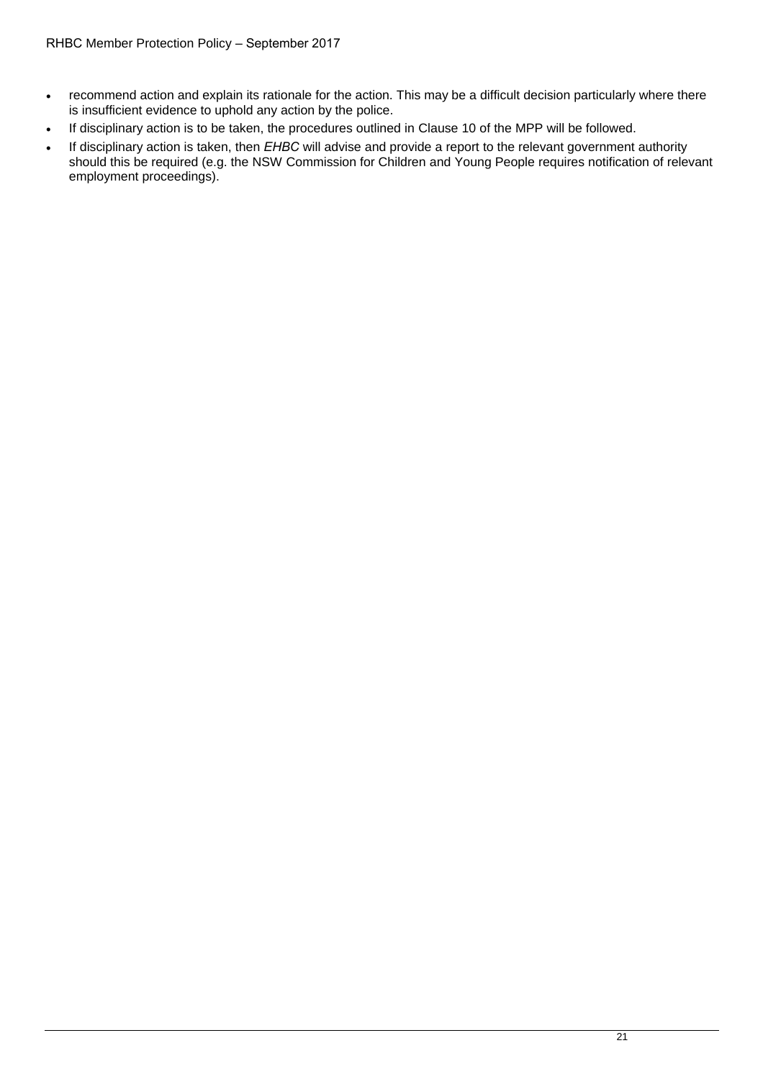- recommend action and explain its rationale for the action. This may be a difficult decision particularly where there is insufficient evidence to uphold any action by the police.
- If disciplinary action is to be taken, the procedures outlined in Clause 10 of the MPP will be followed.
- If disciplinary action is taken, then *EHBC* will advise and provide a report to the relevant government authority should this be required (e.g. the NSW Commission for Children and Young People requires notification of relevant employment proceedings).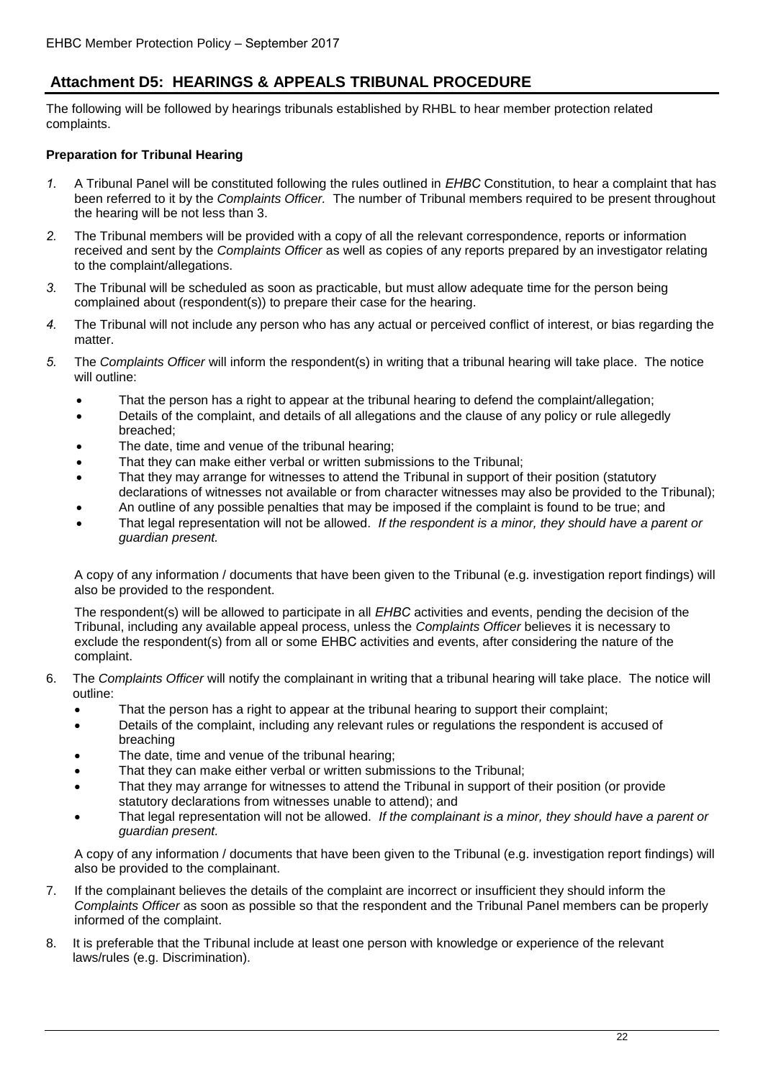# **Attachment D5: HEARINGS & APPEALS TRIBUNAL PROCEDURE**

The following will be followed by hearings tribunals established by RHBL to hear member protection related complaints.

## **Preparation for Tribunal Hearing**

- *1.* A Tribunal Panel will be constituted following the rules outlined in *EHBC* Constitution, to hear a complaint that has been referred to it by the *Complaints Officer.* The number of Tribunal members required to be present throughout the hearing will be not less than 3.
- *2.* The Tribunal members will be provided with a copy of all the relevant correspondence, reports or information received and sent by the *Complaints Officer* as well as copies of any reports prepared by an investigator relating to the complaint/allegations.
- *3.* The Tribunal will be scheduled as soon as practicable, but must allow adequate time for the person being complained about (respondent(s)) to prepare their case for the hearing.
- *4.* The Tribunal will not include any person who has any actual or perceived conflict of interest, or bias regarding the matter.
- *5.* The *Complaints Officer* will inform the respondent(s) in writing that a tribunal hearing will take place. The notice will outline:
	- That the person has a right to appear at the tribunal hearing to defend the complaint/allegation;
	- Details of the complaint, and details of all allegations and the clause of any policy or rule allegedly breached;
	- The date, time and venue of the tribunal hearing;
	- That they can make either verbal or written submissions to the Tribunal;
	- That they may arrange for witnesses to attend the Tribunal in support of their position (statutory declarations of witnesses not available or from character witnesses may also be provided to the Tribunal);
	- An outline of any possible penalties that may be imposed if the complaint is found to be true; and
	- That legal representation will not be allowed. *If the respondent is a minor, they should have a parent or guardian present.*

A copy of any information / documents that have been given to the Tribunal (e.g. investigation report findings) will also be provided to the respondent.

The respondent(s) will be allowed to participate in all *EHBC* activities and events, pending the decision of the Tribunal, including any available appeal process, unless the *Complaints Officer* believes it is necessary to exclude the respondent(s) from all or some EHBC activities and events, after considering the nature of the complaint.

- 6. The *Complaints Officer* will notify the complainant in writing that a tribunal hearing will take place. The notice will outline:
	- That the person has a right to appear at the tribunal hearing to support their complaint;
	- Details of the complaint, including any relevant rules or regulations the respondent is accused of breaching
	- The date, time and venue of the tribunal hearing;
	- That they can make either verbal or written submissions to the Tribunal;
	- That they may arrange for witnesses to attend the Tribunal in support of their position (or provide statutory declarations from witnesses unable to attend); and
	- That legal representation will not be allowed. *If the complainant is a minor, they should have a parent or guardian present.*

A copy of any information / documents that have been given to the Tribunal (e.g. investigation report findings) will also be provided to the complainant.

- 7. If the complainant believes the details of the complaint are incorrect or insufficient they should inform the *Complaints Officer* as soon as possible so that the respondent and the Tribunal Panel members can be properly informed of the complaint.
- 8. It is preferable that the Tribunal include at least one person with knowledge or experience of the relevant laws/rules (e.g. Discrimination).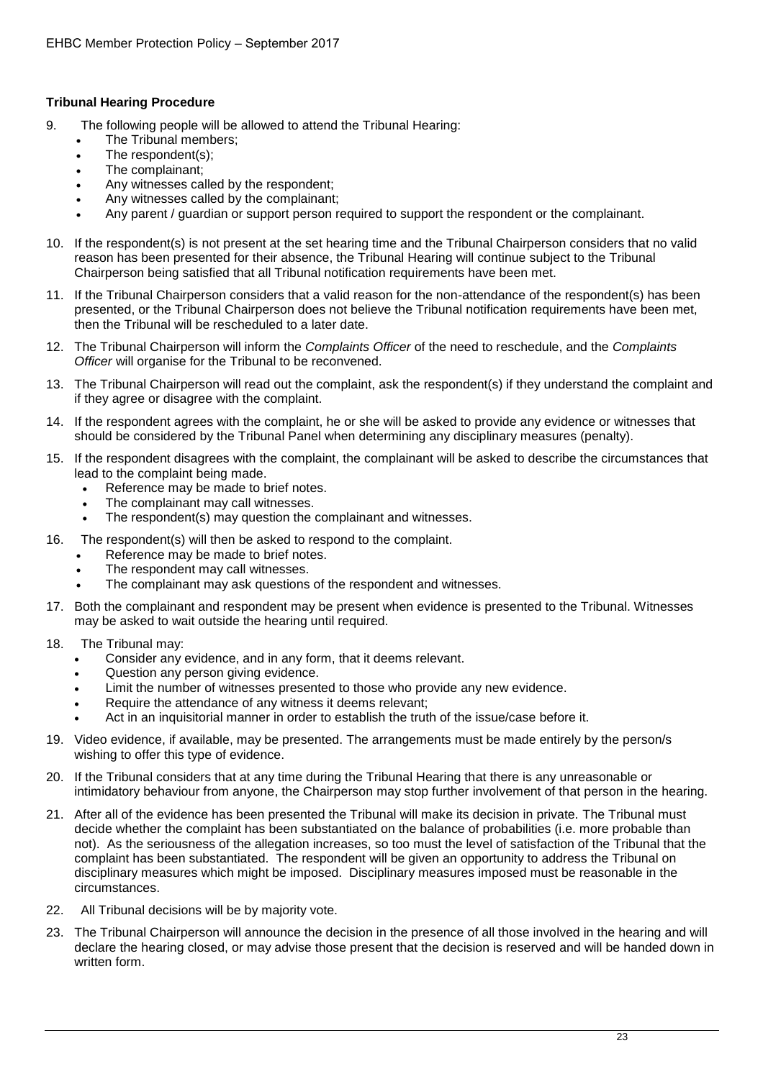## **Tribunal Hearing Procedure**

- 9. The following people will be allowed to attend the Tribunal Hearing:
	- The Tribunal members;
	- The respondent(s);
	- The complainant;
	- Any witnesses called by the respondent;
	- Any witnesses called by the complainant;
	- Any parent / guardian or support person required to support the respondent or the complainant.
- 10. If the respondent(s) is not present at the set hearing time and the Tribunal Chairperson considers that no valid reason has been presented for their absence, the Tribunal Hearing will continue subject to the Tribunal Chairperson being satisfied that all Tribunal notification requirements have been met.
- 11. If the Tribunal Chairperson considers that a valid reason for the non-attendance of the respondent(s) has been presented, or the Tribunal Chairperson does not believe the Tribunal notification requirements have been met, then the Tribunal will be rescheduled to a later date.
- 12. The Tribunal Chairperson will inform the *Complaints Officer* of the need to reschedule, and the *Complaints Officer* will organise for the Tribunal to be reconvened.
- 13. The Tribunal Chairperson will read out the complaint, ask the respondent(s) if they understand the complaint and if they agree or disagree with the complaint.
- 14. If the respondent agrees with the complaint, he or she will be asked to provide any evidence or witnesses that should be considered by the Tribunal Panel when determining any disciplinary measures (penalty).
- 15. If the respondent disagrees with the complaint, the complainant will be asked to describe the circumstances that lead to the complaint being made.
	- Reference may be made to brief notes.
	- The complainant may call witnesses.
	- The respondent(s) may question the complainant and witnesses.
- 16. The respondent(s) will then be asked to respond to the complaint.
	- Reference may be made to brief notes.
	- The respondent may call witnesses.
	- The complainant may ask questions of the respondent and witnesses.
- 17. Both the complainant and respondent may be present when evidence is presented to the Tribunal. Witnesses may be asked to wait outside the hearing until required.
- 18. The Tribunal may:
	- Consider any evidence, and in any form, that it deems relevant.
	- Question any person giving evidence.
	- Limit the number of witnesses presented to those who provide any new evidence.
	- Require the attendance of any witness it deems relevant;
	- Act in an inquisitorial manner in order to establish the truth of the issue/case before it.
- 19. Video evidence, if available, may be presented. The arrangements must be made entirely by the person/s wishing to offer this type of evidence.
- 20. If the Tribunal considers that at any time during the Tribunal Hearing that there is any unreasonable or intimidatory behaviour from anyone, the Chairperson may stop further involvement of that person in the hearing.
- 21. After all of the evidence has been presented the Tribunal will make its decision in private. The Tribunal must decide whether the complaint has been substantiated on the balance of probabilities (i.e. more probable than not). As the seriousness of the allegation increases, so too must the level of satisfaction of the Tribunal that the complaint has been substantiated. The respondent will be given an opportunity to address the Tribunal on disciplinary measures which might be imposed. Disciplinary measures imposed must be reasonable in the circumstances.
- 22. All Tribunal decisions will be by majority vote.
- 23. The Tribunal Chairperson will announce the decision in the presence of all those involved in the hearing and will declare the hearing closed, or may advise those present that the decision is reserved and will be handed down in written form.